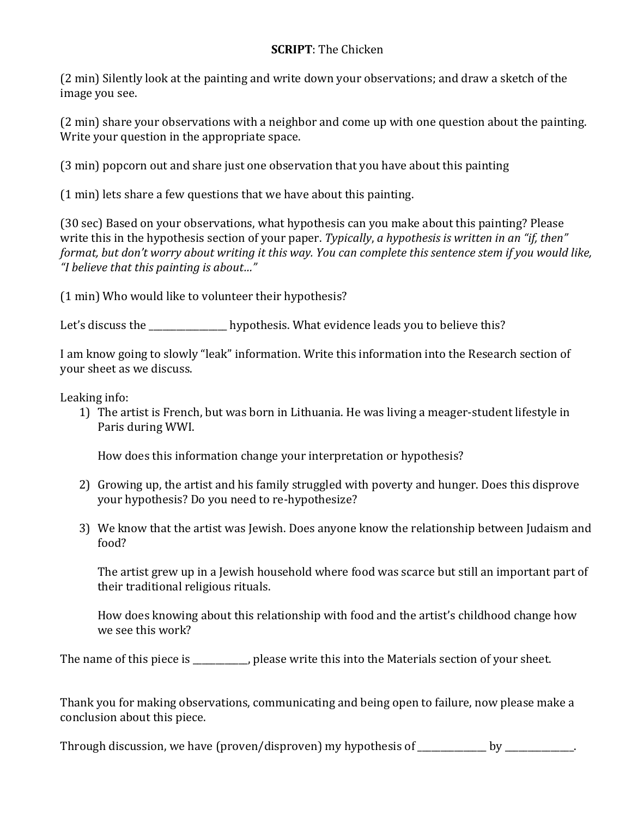## **SCRIPT**: The Chicken

(2 min) Silently look at the painting and write down your observations; and draw a sketch of the image you see.

(2 min) share your observations with a neighbor and come up with one question about the painting. Write your question in the appropriate space.

(3 min) popcorn out and share just one observation that you have about this painting

(1 min) lets share a few questions that we have about this painting.

(30 sec) Based on your observations, what hypothesis can you make about this painting? Please write this in the hypothesis section of your paper. *Typically*, *a hypothesis* is written in an "if, then" *format, but don't worry about writing it this way. You can complete this sentence stem if you would like, "I believe that this painting is about…"*

(1 min) Who would like to volunteer their hypothesis?

Let's discuss the \_\_\_\_\_\_\_\_\_\_\_\_\_\_\_\_ hypothesis. What evidence leads you to believe this?

I am know going to slowly "leak" information. Write this information into the Research section of your sheet as we discuss.

Leaking info:

1) The artist is French, but was born in Lithuania. He was living a meager-student lifestyle in Paris during WWI.

How does this information change your interpretation or hypothesis?

- 2) Growing up, the artist and his family struggled with poverty and hunger. Does this disprove your hypothesis? Do you need to re-hypothesize?
- 3) We know that the artist was Jewish. Does anyone know the relationship between Judaism and food?

The artist grew up in a Jewish household where food was scarce but still an important part of their traditional religious rituals.

How does knowing about this relationship with food and the artist's childhood change how we see this work?

The name of this piece is please write this into the Materials section of your sheet.

Thank you for making observations, communicating and being open to failure, now please make a conclusion about this piece.

Through discussion, we have (proven/disproven) my hypothesis of \_\_\_\_\_\_\_\_\_\_\_\_\_ by \_\_\_\_\_\_\_\_\_\_\_\_.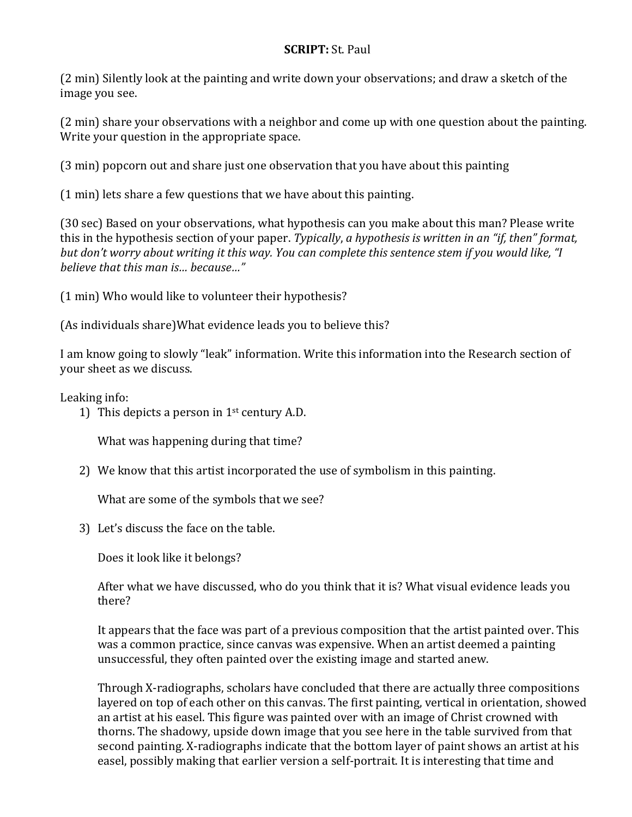## **SCRIPT:** St. Paul

(2 min) Silently look at the painting and write down your observations; and draw a sketch of the image you see.

(2 min) share your observations with a neighbor and come up with one question about the painting. Write your question in the appropriate space.

(3 min) popcorn out and share just one observation that you have about this painting

(1 min) lets share a few questions that we have about this painting.

(30 sec) Based on your observations, what hypothesis can you make about this man? Please write this in the hypothesis section of your paper. *Typically*, *a hypothesis is written in an "if, then" format,* but don't worry about writing it this way. You can complete this sentence stem if you would like, "I *believe that this man is… because…"*

(1 min) Who would like to volunteer their hypothesis?

(As individuals share)What evidence leads you to believe this?

I am know going to slowly "leak" information. Write this information into the Research section of your sheet as we discuss.

Leaking info:

1) This depicts a person in  $1<sup>st</sup>$  century A.D.

What was happening during that time?

2) We know that this artist incorporated the use of symbolism in this painting.

What are some of the symbols that we see?

3) Let's discuss the face on the table.

Does it look like it belongs?

After what we have discussed, who do you think that it is? What visual evidence leads you there?

It appears that the face was part of a previous composition that the artist painted over. This was a common practice, since canvas was expensive. When an artist deemed a painting unsuccessful, they often painted over the existing image and started anew.

Through X-radiographs, scholars have concluded that there are actually three compositions layered on top of each other on this canvas. The first painting, vertical in orientation, showed an artist at his easel. This figure was painted over with an image of Christ crowned with thorns. The shadowy, upside down image that you see here in the table survived from that second painting. X-radiographs indicate that the bottom layer of paint shows an artist at his easel, possibly making that earlier version a self-portrait. It is interesting that time and